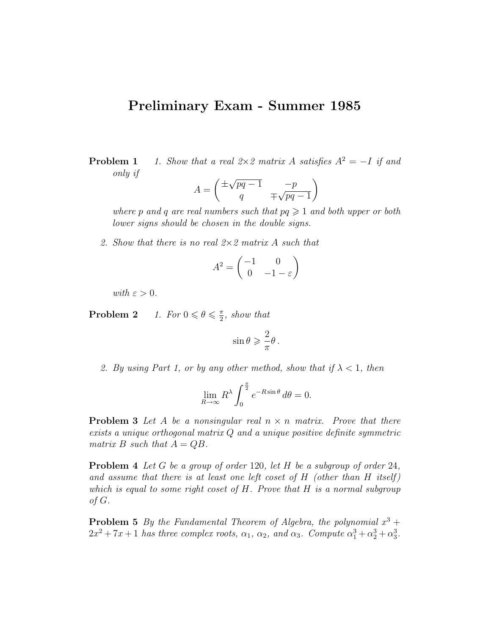## Preliminary Exam - Summer 1985

**Problem 1** 1. Show that a real  $2 \times 2$  matrix A satisfies  $A^2 = -I$  if and only if √

$$
A = \begin{pmatrix} \pm \sqrt{pq-1} & -p \\ q & \mp \sqrt{pq-1} \end{pmatrix}
$$

where p and q are real numbers such that  $pq \geq 1$  and both upper or both lower signs should be chosen in the double signs.

2. Show that there is no real 2×2 matrix A such that

$$
A^2 = \begin{pmatrix} -1 & 0\\ 0 & -1 - \varepsilon \end{pmatrix}
$$

with  $\varepsilon > 0$ .

**Problem 2** 1. For  $0 \le \theta \le \frac{\pi}{2}$  $\frac{\pi}{2}$ , show that

$$
\sin \theta \geqslant \frac{2}{\pi} \theta \, .
$$

2. By using Part 1, or by any other method, show that if  $\lambda < 1$ , then

$$
\lim_{R \to \infty} R^{\lambda} \int_0^{\frac{\pi}{2}} e^{-R \sin \theta} d\theta = 0.
$$

**Problem 3** Let A be a nonsingular real  $n \times n$  matrix. Prove that there exists a unique orthogonal matrix Q and a unique positive definite symmetric matrix B such that  $A = QB$ .

**Problem 4** Let G be a group of order 120, let H be a subgroup of order 24, and assume that there is at least one left coset of  $H$  (other than  $H$  itself) which is equal to some right coset of  $H$ . Prove that  $H$  is a normal subgroup of G.

**Problem 5** By the Fundamental Theorem of Algebra, the polynomial  $x^3 +$  $2x^2 + 7x + 1$  has three complex roots,  $\alpha_1$ ,  $\alpha_2$ , and  $\alpha_3$ . Compute  $\alpha_1^3 + \alpha_2^3 + \alpha_3^3$ .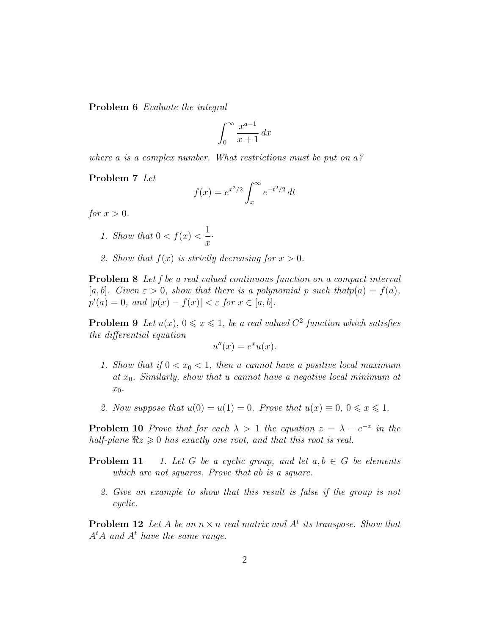Problem 6 Evaluate the integral

$$
\int_0^\infty \frac{x^{a-1}}{x+1} \, dx
$$

where a is a complex number. What restrictions must be put on  $a<sup>2</sup>$ 

Problem 7 Let

$$
f(x) = e^{x^2/2} \int_x^{\infty} e^{-t^2/2} dt
$$

for  $x > 0$ .

1. Show that 
$$
0 < f(x) < \frac{1}{x}
$$
.

2. Show that  $f(x)$  is strictly decreasing for  $x > 0$ .

Problem 8 Let f be a real valued continuous function on a compact interval [a, b]. Given  $\varepsilon > 0$ , show that there is a polynomial p such that  $p(a) = f(a)$ ,  $p'(a) = 0$ , and  $|p(x) - f(x)| < \varepsilon$  for  $x \in [a, b]$ .

**Problem 9** Let  $u(x)$ ,  $0 \le x \le 1$ , be a real valued  $C^2$  function which satisfies the differential equation

$$
u''(x) = e^x u(x).
$$

- 1. Show that if  $0 < x_0 < 1$ , then u cannot have a positive local maximum at  $x_0$ . Similarly, show that u cannot have a negative local minimum at  $x_0$ .
- 2. Now suppose that  $u(0) = u(1) = 0$ . Prove that  $u(x) \equiv 0, 0 \le x \le 1$ .

**Problem 10** Prove that for each  $\lambda > 1$  the equation  $z = \lambda - e^{-z}$  in the half-plane  $\Re z \geq 0$  has exactly one root, and that this root is real.

- **Problem 11** 1. Let G be a cyclic group, and let  $a, b \in G$  be elements which are not squares. Prove that ab is a square.
	- 2. Give an example to show that this result is false if the group is not cyclic.

**Problem 12** Let A be an  $n \times n$  real matrix and  $A<sup>t</sup>$  its transpose. Show that  $A<sup>t</sup>A$  and  $A<sup>t</sup>$  have the same range.